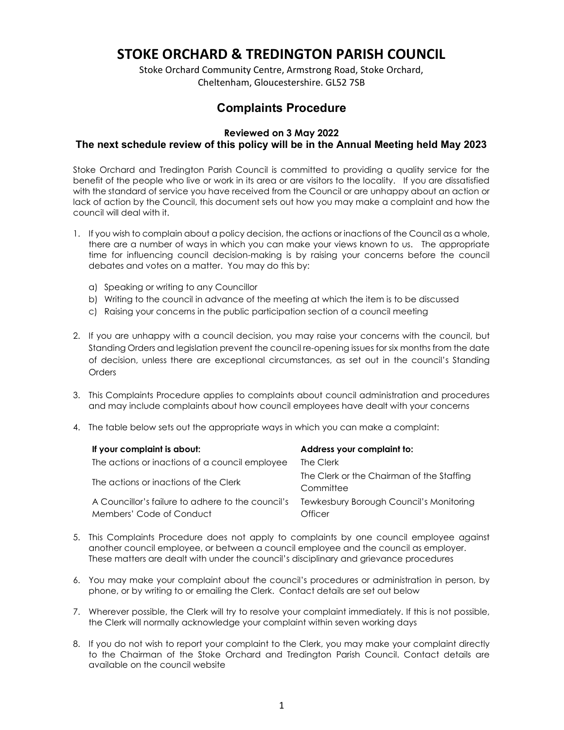# STOKE ORCHARD & TREDINGTON PARISH COUNCIL

Stoke Orchard Community Centre, Armstrong Road, Stoke Orchard, Cheltenham, Gloucestershire. GL52 7SB

## Complaints Procedure

## Reviewed on 3 May 2022 The next schedule review of this policy will be in the Annual Meeting held May 2023

Stoke Orchard and Tredington Parish Council is committed to providing a quality service for the benefit of the people who live or work in its area or are visitors to the locality. If you are dissatisfied with the standard of service you have received from the Council or are unhappy about an action or lack of action by the Council, this document sets out how you may make a complaint and how the council will deal with it.

- 1. If you wish to complain about a policy decision, the actions or inactions of the Council as a whole, there are a number of ways in which you can make your views known to us. The appropriate time for influencing council decision-making is by raising your concerns before the council debates and votes on a matter. You may do this by:
	- a) Speaking or writing to any Councillor
	- b) Writing to the council in advance of the meeting at which the item is to be discussed
	- c) Raising your concerns in the public participation section of a council meeting
- 2. If you are unhappy with a council decision, you may raise your concerns with the council, but Standing Orders and legislation prevent the council re-opening issues for six months from the date of decision, unless there are exceptional circumstances, as set out in the council's Standing **Orders**
- 3. This Complaints Procedure applies to complaints about council administration and procedures and may include complaints about how council employees have dealt with your concerns
- 4. The table below sets out the appropriate ways in which you can make a complaint:

| If your complaint is about:                                                   | Address your complaint to:                             |
|-------------------------------------------------------------------------------|--------------------------------------------------------|
| The actions or inactions of a council employee                                | The Clerk                                              |
| The actions or inactions of the Clerk                                         | The Clerk or the Chairman of the Staffing<br>Committee |
| A Councillor's failure to adhere to the council's<br>Members' Code of Conduct | Tewkesbury Borough Council's Monitoring<br>Officer     |

- 5. This Complaints Procedure does not apply to complaints by one council employee against another council employee, or between a council employee and the council as employer. These matters are dealt with under the council's disciplinary and grievance procedures
- 6. You may make your complaint about the council's procedures or administration in person, by phone, or by writing to or emailing the Clerk. Contact details are set out below
- 7. Wherever possible, the Clerk will try to resolve your complaint immediately. If this is not possible, the Clerk will normally acknowledge your complaint within seven working days
- 8. If you do not wish to report your complaint to the Clerk, you may make your complaint directly to the Chairman of the Stoke Orchard and Tredington Parish Council. Contact details are available on the council website